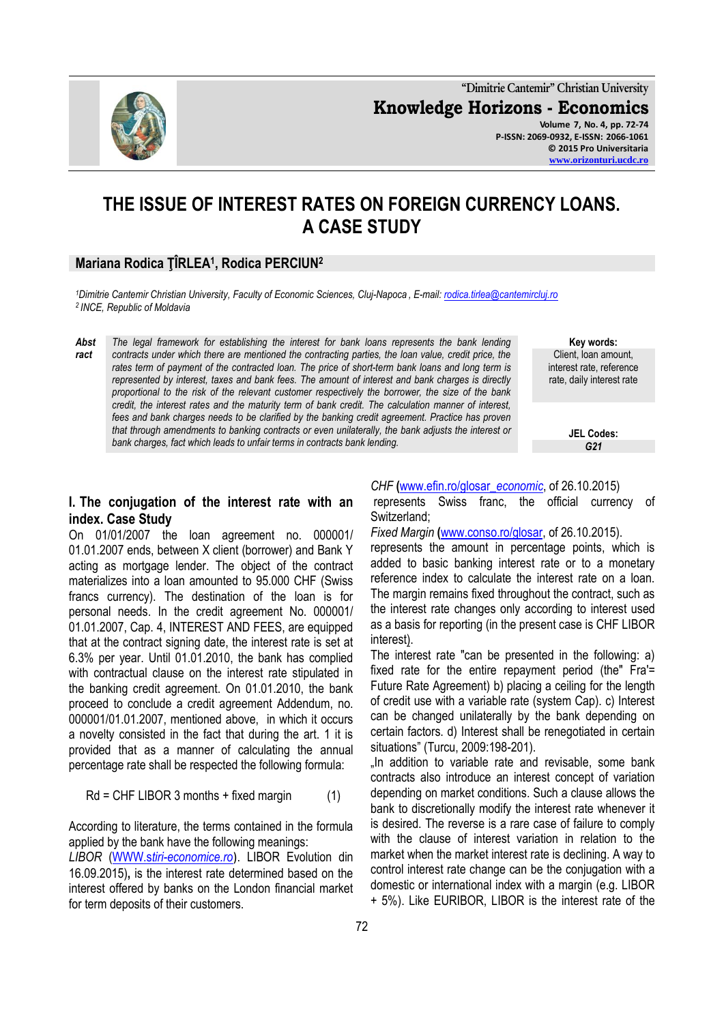

**"Dimitrie Cantemir" Christian University Knowledge Horizons - Economics Volume 7, No. 4, pp. 72-74 P-ISSN: 2069-0932, E-ISSN: 2066-1061 © 2015 Pro Universitaria [www.orizonturi.ucdc.ro](http://www.orizonturi.ucdc.ro/)**

# **THE ISSUE OF INTEREST RATES ON FOREIGN CURRENCY LOANS. A CASE STUDY**

### **Mariana Rodica ŢÎRLEA<sup>1</sup> , Rodica PERCIUN<sup>2</sup>**

*<sup>1</sup>Dimitrie Cantemir Christian University, Faculty of Economic Sciences, Cluj-Napoca , E-mail: [rodica.tirlea@cantemircluj.ro](mailto:rodica.tirlea@cantemircluj.ro) 2 INCE, Republic of Moldavia*

*Abst ract The legal framework for establishing the interest for bank loans represents the bank lending contracts under which there are mentioned the contracting parties, the loan value, credit price, the rates term of payment of the contracted loan. The price of short-term bank loans and long term is represented by interest, taxes and bank fees. The amount of interest and bank charges is directly proportional to the risk of the relevant customer respectively the borrower, the size of the bank credit, the interest rates and the maturity term of bank credit. The calculation manner of interest, fees and bank charges needs to be clarified by the banking credit agreement. Practice has proven that through amendments to banking contracts or even unilaterally, the bank adjusts the interest or bank charges, fact which leads to unfair terms in contracts bank lending.* 

**Key words:** Client, loan amount, interest rate, reference rate, daily interest rate

> **JEL Codes:** *G21*

#### **I. The conjugation of the interest rate with an index. Case Study**

On 01/01/2007 the loan agreement no. 000001/ 01.01.2007 ends, between X client (borrower) and Bank Y acting as mortgage lender. The object of the contract materializes into a loan amounted to 95.000 CHF (Swiss francs currency). The destination of the loan is for personal needs. In the credit agreement No. 000001/ 01.01.2007, Cap. 4, INTEREST AND FEES, are equipped that at the contract signing date, the interest rate is set at 6.3% per year. Until 01.01.2010, the bank has complied with contractual clause on the interest rate stipulated in the banking credit agreement. On 01.01.2010, the bank proceed to conclude a credit agreement Addendum, no. 000001/01.01.2007, mentioned above, in which it occurs a novelty consisted in the fact that during the art. 1 it is provided that as a manner of calculating the annual percentage rate shall be respected the following formula:

$$
Rd = CHF LIBOR 3 months + fixed margin \qquad (1)
$$

According to literature, the terms contained in the formula applied by the bank have the following meanings:

*LIBOR* (WWW.s*[tiri-economice.ro](http://www.stiri-economice.ro/)*). LIBOR Evolution din 16.09.2015)**,** is the interest rate determined based on the interest offered by banks on the London financial market for term deposits of their customers.

*CHF* **(**[www.efin.ro/glosar\\_](http://www.efin.ro/glosar_economic)*economic*, of 26.10.2015)

represents Swiss franc, the official currency of Switzerland;

*Fixed Margin* **(**[www.conso.ro/glosar,](http://www.conso.ro/glosar) of 26.10.2015).

represents the amount in percentage points, which is added to basic banking interest rate or to a monetary reference index to calculate the interest rate on a loan. The margin remains fixed throughout the contract, such as the interest rate changes only according to interest used as a basis for reporting (in the present case is CHF LIBOR interest).

The interest rate "can be presented in the following: a) fixed rate for the entire repayment period (the" Fra'= Future Rate Agreement) b) placing a ceiling for the length of credit use with a variable rate (system Cap). c) Interest can be changed unilaterally by the bank depending on certain factors. d) Interest shall be renegotiated in certain situations" (Turcu, 2009:198-201).

..In addition to variable rate and revisable, some bank contracts also introduce an interest concept of variation depending on market conditions. Such a clause allows the bank to discretionally modify the interest rate whenever it is desired. The reverse is a rare case of failure to comply with the clause of interest variation in relation to the market when the market interest rate is declining. A way to control interest rate change can be the conjugation with a domestic or international index with a margin (e.g. LIBOR + 5%). Like EURIBOR, LIBOR is the interest rate of the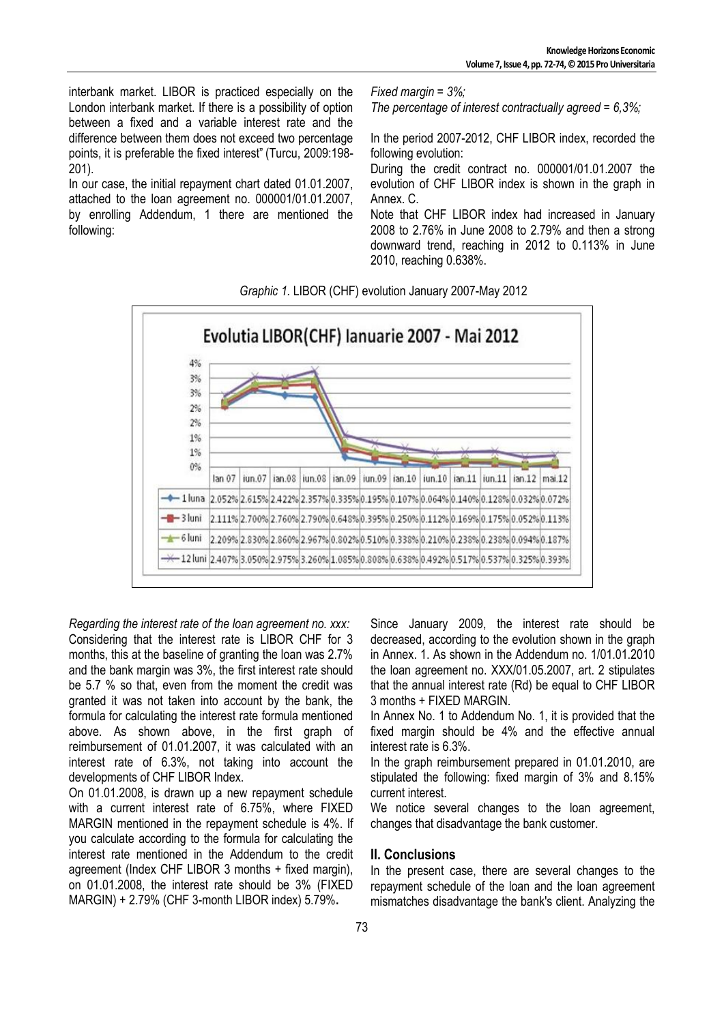interbank market. LIBOR is practiced especially on the London interbank market. If there is a possibility of option between a fixed and a variable interest rate and the difference between them does not exceed two percentage points, it is preferable the fixed interest" (Turcu, 2009:198- 201).

In our case, the initial repayment chart dated 01.01.2007, attached to the loan agreement no. 000001/01.01.2007, by enrolling Addendum, 1 there are mentioned the following:

*Fixed margin = 3%; The percentage of interest contractually agreed = 6,3%;*

In the period 2007-2012, CHF LIBOR index, recorded the following evolution:

During the credit contract no. 000001/01.01.2007 the evolution of CHF LIBOR index is shown in the graph in Annex. C.

Note that CHF LIBOR index had increased in January 2008 to 2.76% in June 2008 to 2.79% and then a strong downward trend, reaching in 2012 to 0.113% in June 2010, reaching 0.638%.



*Graphic 1.* LIBOR (CHF) evolution January 2007-May 2012

*Regarding the interest rate of the loan agreement no. xxx:* Considering that the interest rate is LIBOR CHF for 3 months, this at the baseline of granting the loan was 2.7% and the bank margin was 3%, the first interest rate should be 5.7 % so that, even from the moment the credit was granted it was not taken into account by the bank, the formula for calculating the interest rate formula mentioned above. As shown above, in the first graph of reimbursement of 01.01.2007, it was calculated with an interest rate of 6.3%, not taking into account the developments of CHF LIBOR Index.

On 01.01.2008, is drawn up a new repayment schedule with a current interest rate of 6.75%, where FIXED MARGIN mentioned in the repayment schedule is 4%. If you calculate according to the formula for calculating the interest rate mentioned in the Addendum to the credit agreement (Index CHF LIBOR 3 months + fixed margin), on 01.01.2008, the interest rate should be 3% (FIXED MARGIN) + 2.79% (CHF 3-month LIBOR index) 5.79%**.**

Since January 2009, the interest rate should be decreased, according to the evolution shown in the graph in Annex. 1. As shown in the Addendum no. 1/01.01.2010 the loan agreement no. XXX/01.05.2007, art. 2 stipulates that the annual interest rate (Rd) be equal to CHF LIBOR 3 months + FIXED MARGIN.

In Annex No. 1 to Addendum No. 1, it is provided that the fixed margin should be 4% and the effective annual interest rate is 6.3%.

In the graph reimbursement prepared in 01.01.2010, are stipulated the following: fixed margin of 3% and 8.15% current interest.

We notice several changes to the loan agreement, changes that disadvantage the bank customer.

## **II. Conclusions**

In the present case, there are several changes to the repayment schedule of the loan and the loan agreement mismatches disadvantage the bank's client. Analyzing the